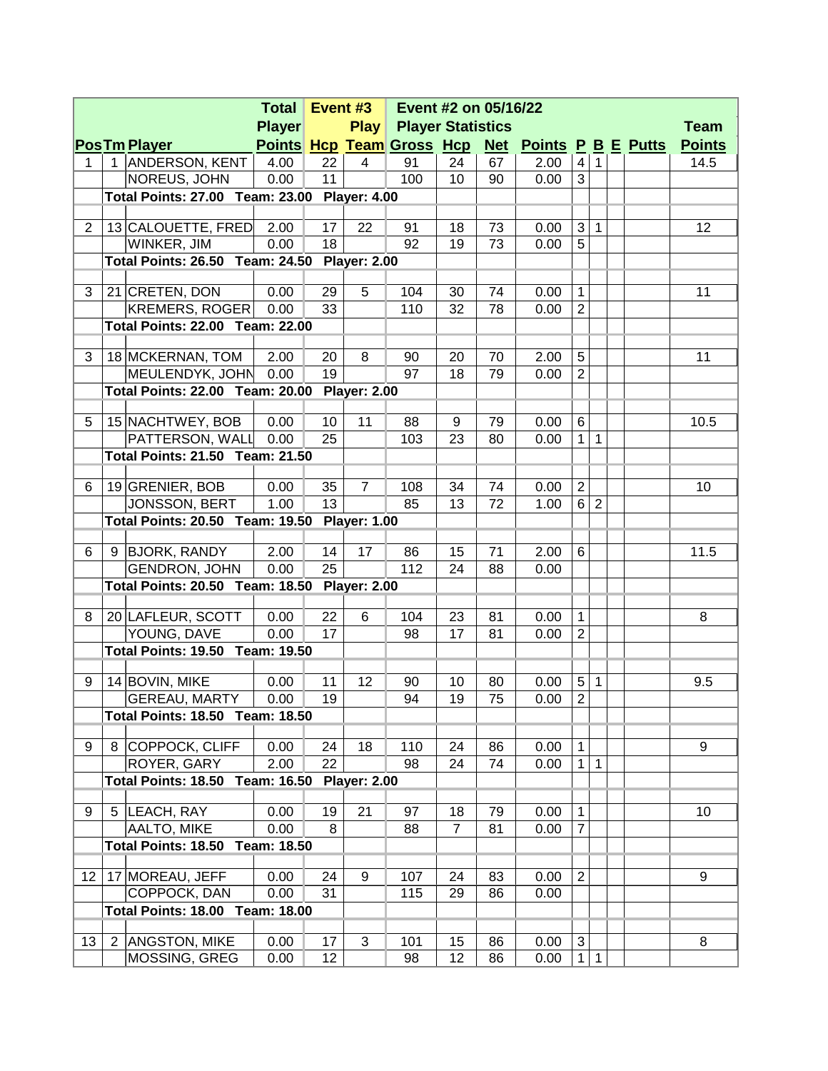|                 |                |                                                                 | <b>Total</b>                                                              |          | Event #3            |                           |                |            |                           |                     |                |  |               |
|-----------------|----------------|-----------------------------------------------------------------|---------------------------------------------------------------------------|----------|---------------------|---------------------------|----------------|------------|---------------------------|---------------------|----------------|--|---------------|
|                 |                |                                                                 | Event #2 on 05/16/22<br><b>Player</b><br><b>Player Statistics</b><br>Play |          |                     |                           |                |            |                           | <b>Team</b>         |                |  |               |
|                 |                | <b>PosTm Player</b>                                             |                                                                           |          |                     | Points Hcp Team Gross Hcp |                | <u>Net</u> | <b>Points P B E Putts</b> |                     |                |  | <b>Points</b> |
| 1               | $\mathbf{1}$   | ANDERSON, KENT                                                  | 4.00                                                                      | 22       | 4                   | 91                        | 24             | 67         | 2.00                      | $\overline{4}$      | $\mathbf{1}$   |  | 14.5          |
|                 |                | NOREUS, JOHN                                                    | 0.00                                                                      | 11       |                     | 100                       | 10             | 90         | 0.00                      | 3                   |                |  |               |
|                 |                | Total Points: 27.00 Team: 23.00 Player: 4.00                    |                                                                           |          |                     |                           |                |            |                           |                     |                |  |               |
|                 |                |                                                                 |                                                                           |          |                     |                           |                |            |                           |                     |                |  |               |
| $\overline{2}$  |                | 13 CALOUETTE, FRED                                              | 2.00                                                                      | 17       | 22                  | 91                        | 18             | 73         | 0.00                      | 3                   | $\mathbf{1}$   |  | 12            |
|                 |                | WINKER, JIM                                                     | 0.00                                                                      | 18       |                     | 92                        | 19             | 73         | 0.00                      | 5                   |                |  |               |
|                 |                | Total Points: 26.50 Team: 24.50 Player: 2.00                    |                                                                           |          |                     |                           |                |            |                           |                     |                |  |               |
|                 |                |                                                                 |                                                                           |          |                     |                           |                |            |                           |                     |                |  |               |
| 3               |                | 21 CRETEN, DON                                                  | 0.00                                                                      | 29<br>33 | 5                   | 104                       | 30<br>32       | 74         | 0.00                      | 1<br>$\overline{2}$ |                |  | 11            |
|                 |                | <b>KREMERS, ROGER</b><br><b>Total Points: 22.00 Team: 22.00</b> | 0.00                                                                      |          |                     | 110                       |                | 78         | 0.00                      |                     |                |  |               |
|                 |                |                                                                 |                                                                           |          |                     |                           |                |            |                           |                     |                |  |               |
| 3               |                | 18 MCKERNAN, TOM                                                | 2.00                                                                      | 20       | 8                   | 90                        | 20             | 70         | 2.00                      | 5                   |                |  | 11            |
|                 |                | MEULENDYK, JOHN                                                 | 0.00                                                                      | 19       |                     | 97                        | 18             | 79         | 0.00                      | $\overline{2}$      |                |  |               |
|                 |                | Total Points: 22.00 Team: 20.00 Player: 2.00                    |                                                                           |          |                     |                           |                |            |                           |                     |                |  |               |
|                 |                |                                                                 |                                                                           |          |                     |                           |                |            |                           |                     |                |  |               |
| 5               |                | 15 NACHTWEY, BOB                                                | 0.00                                                                      | 10       | 11                  | 88                        | 9              | 79         | 0.00                      | 6                   |                |  | 10.5          |
|                 |                | PATTERSON, WALL                                                 | 0.00                                                                      | 25       |                     | 103                       | 23             | 80         | 0.00                      | 1 <sup>1</sup>      | $\mathbf{1}$   |  |               |
|                 |                | Total Points: 21.50 Team: 21.50                                 |                                                                           |          |                     |                           |                |            |                           |                     |                |  |               |
|                 |                |                                                                 |                                                                           |          |                     |                           |                |            |                           |                     |                |  |               |
| 6               |                | 19 GRENIER, BOB                                                 | 0.00                                                                      | 35       | $\overline{7}$      | 108                       | 34             | 74         | 0.00                      | $\overline{2}$      |                |  | 10            |
|                 |                | JONSSON, BERT                                                   | 1.00                                                                      | 13       |                     | 85                        | 13             | 72         | 1.00                      | 6 <sup>1</sup>      | $\overline{2}$ |  |               |
|                 |                | Total Points: 20.50 Team: 19.50 Player: 1.00                    |                                                                           |          |                     |                           |                |            |                           |                     |                |  |               |
| 6               |                | 9 BJORK, RANDY                                                  | 2.00                                                                      | 14       | 17                  | 86                        | 15             | 71         | 2.00                      | $6\phantom{1}$      |                |  | 11.5          |
|                 |                | <b>GENDRON, JOHN</b>                                            | 0.00                                                                      | 25       |                     | 112                       | 24             | 88         | 0.00                      |                     |                |  |               |
|                 |                | Total Points: 20.50 Team: 18.50 Player: 2.00                    |                                                                           |          |                     |                           |                |            |                           |                     |                |  |               |
|                 |                |                                                                 |                                                                           |          |                     |                           |                |            |                           |                     |                |  |               |
| 8               |                | 20 LAFLEUR, SCOTT                                               | 0.00                                                                      | 22       | 6                   | 104                       | 23             | 81         | 0.00                      | $\mathbf{1}$        |                |  | 8             |
|                 |                | YOUNG, DAVE                                                     | 0.00                                                                      | 17       |                     | 98                        | 17             | 81         | 0.00                      | $\overline{2}$      |                |  |               |
|                 |                | Total Points: 19.50 Team: 19.50                                 |                                                                           |          |                     |                           |                |            |                           |                     |                |  |               |
|                 |                |                                                                 |                                                                           |          |                     |                           |                |            |                           |                     |                |  |               |
| 9               |                | 14 BOVIN, MIKE                                                  | 0.00                                                                      | 11       | 12                  | 90                        | 10             | 80         | 0.00                      | 5 <sup>5</sup>      | $\mathbf{1}$   |  | 9.5           |
|                 |                | <b>GEREAU, MARTY</b>                                            | 0.00                                                                      | 19       |                     | 94                        | 19             | 75         | 0.00                      | $\mathbf{2}$        |                |  |               |
|                 |                | <b>Total Points: 18.50 Team: 18.50</b>                          |                                                                           |          |                     |                           |                |            |                           |                     |                |  |               |
|                 |                |                                                                 |                                                                           |          |                     |                           |                |            |                           |                     |                |  |               |
| 9               | 8              | COPPOCK, CLIFF                                                  | 0.00                                                                      | 24       | 18                  | 110                       | 24             | 86         | 0.00                      | $\mathbf{1}$        |                |  | 9             |
|                 |                | ROYER, GARY                                                     | 2.00                                                                      | 22       |                     | 98                        | 24             | 74         | 0.00                      | 1 <sup>1</sup>      | $\mathbf{1}$   |  |               |
|                 |                | <b>Total Points: 18.50 Team: 16.50</b>                          |                                                                           |          | <b>Player: 2.00</b> |                           |                |            |                           |                     |                |  |               |
| 9               |                | 5 LEACH, RAY                                                    | 0.00                                                                      | 19       | 21                  | 97                        | 18             | 79         | 0.00                      | $\mathbf 1$         |                |  | 10            |
|                 |                | AALTO, MIKE                                                     | 0.00                                                                      | 8        |                     | 88                        | $\overline{7}$ | 81         | 0.00                      | $\overline{7}$      |                |  |               |
|                 |                | Total Points: 18.50 Team: 18.50                                 |                                                                           |          |                     |                           |                |            |                           |                     |                |  |               |
|                 |                |                                                                 |                                                                           |          |                     |                           |                |            |                           |                     |                |  |               |
| 12 <sup>2</sup> |                | 17 MOREAU, JEFF                                                 | 0.00                                                                      | 24       | 9                   | 107                       | 24             | 83         | 0.00                      | $\overline{2}$      |                |  | 9             |
|                 |                | COPPOCK, DAN                                                    | 0.00                                                                      | 31       |                     | 115                       | 29             | 86         | 0.00                      |                     |                |  |               |
|                 |                | <b>Total Points: 18.00 Team: 18.00</b>                          |                                                                           |          |                     |                           |                |            |                           |                     |                |  |               |
|                 |                |                                                                 |                                                                           |          |                     |                           |                |            |                           |                     |                |  |               |
| 13              | $\overline{2}$ | <b>ANGSTON, MIKE</b>                                            | 0.00                                                                      | 17       | 3                   | 101                       | 15             | 86         | 0.00                      | 3                   |                |  | 8             |
|                 |                | MOSSING, GREG                                                   | 0.00                                                                      | 12       |                     | 98                        | 12             | 86         | 0.00                      | 1                   | $\mathbf{1}$   |  |               |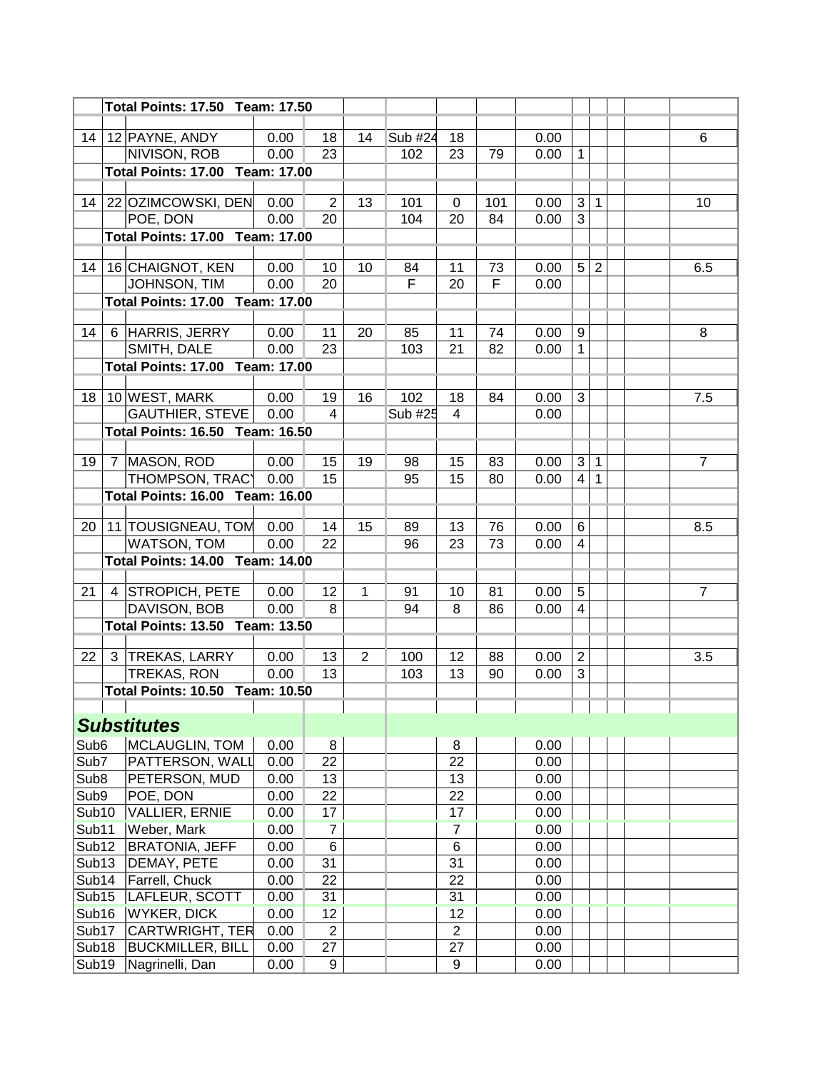|                                                 |   | <b>Total Points: 17.50 Team: 17.50</b>            |              |                |                |         |                |     |      |                |                |                |
|-------------------------------------------------|---|---------------------------------------------------|--------------|----------------|----------------|---------|----------------|-----|------|----------------|----------------|----------------|
| 14                                              |   | 12 PAYNE, ANDY                                    | 0.00         | 18             | 14             | Sub #24 | 18             |     | 0.00 |                |                | 6              |
|                                                 |   | NIVISON, ROB                                      | 0.00         | 23             |                | 102     | 23             | 79  | 0.00 | $\mathbf{1}$   |                |                |
|                                                 |   | <b>Total Points: 17.00 Team: 17.00</b>            |              |                |                |         |                |     |      |                |                |                |
|                                                 |   |                                                   |              |                |                |         |                |     |      |                |                |                |
| 14                                              |   | 22 OZIMCOWSKI, DEN                                | 0.00         | 2              | 13             | 101     | 0              | 101 | 0.00 | 3 <sup>1</sup> | $\mathbf{1}$   | 10             |
|                                                 |   | POE, DON                                          | 0.00         | 20             |                | 104     | 20             | 84  | 0.00 | 3              |                |                |
|                                                 |   | <b>Total Points: 17.00 Team: 17.00</b>            |              |                |                |         |                |     |      |                |                |                |
|                                                 |   |                                                   |              |                |                |         |                |     |      |                |                |                |
| 14                                              |   | 16 CHAIGNOT, KEN                                  | 0.00         | 10             | 10             | 84      | 11             | 73  | 0.00 | 5 <sup>1</sup> | $\overline{2}$ | 6.5            |
|                                                 |   | JOHNSON, TIM                                      | 0.00         | 20             |                | F       | 20             | F   | 0.00 |                |                |                |
|                                                 |   | <b>Total Points: 17.00 Team: 17.00</b>            |              |                |                |         |                |     |      |                |                |                |
|                                                 |   |                                                   |              |                |                |         |                |     |      |                |                |                |
| 14                                              |   | 6 HARRIS, JERRY                                   | 0.00         | 11             | 20             | 85      | 11             | 74  | 0.00 | 9              |                | 8              |
|                                                 |   | SMITH, DALE                                       | 0.00         | 23             |                | 103     | 21             | 82  | 0.00 | $\mathbf{1}$   |                |                |
|                                                 |   | <b>Total Points: 17.00 Team: 17.00</b>            |              |                |                |         |                |     |      |                |                |                |
|                                                 |   |                                                   |              |                |                |         |                |     |      |                |                |                |
| 18                                              |   | 10 WEST, MARK                                     | 0.00         | 19             | 16             | 102     | 18             | 84  | 0.00 | 3              |                | 7.5            |
|                                                 |   | <b>GAUTHIER, STEVE</b>                            | 0.00         | 4              |                | Sub #25 | 4              |     | 0.00 |                |                |                |
|                                                 |   | Total Points: 16.50 Team: 16.50                   |              |                |                |         |                |     |      |                |                |                |
|                                                 |   |                                                   |              |                |                |         |                |     |      |                |                |                |
| 19                                              | 7 | MASON, ROD                                        | 0.00         | 15             | 19             | 98      | 15             | 83  | 0.00 | $\mathbf{3}$   | $\mathbf{1}$   | $\overline{7}$ |
|                                                 |   | THOMPSON, TRACY                                   | 0.00         | 15             |                | 95      | 15             | 80  | 0.00 | $\overline{4}$ | $\mathbf{1}$   |                |
|                                                 |   | <b>Total Points: 16.00 Team: 16.00</b>            |              |                |                |         |                |     |      |                |                |                |
|                                                 |   |                                                   |              |                |                |         |                |     |      |                |                |                |
| 20                                              |   | 11 TOUSIGNEAU, TOM                                | 0.00         | 14             | 15             | 89      | 13             | 76  | 0.00 | 6              |                | 8.5            |
|                                                 |   | WATSON, TOM                                       | 0.00         | 22             |                | 96      | 23             | 73  | 0.00 | 4              |                |                |
|                                                 |   | <b>Total Points: 14.00 Team: 14.00</b>            |              |                |                |         |                |     |      |                |                |                |
|                                                 |   |                                                   |              |                |                |         |                |     |      |                |                |                |
| 21                                              |   | 4 STROPICH, PETE                                  | 0.00         | 12             | 1              | 91      | 10             | 81  | 0.00 | 5              |                | $\overline{7}$ |
|                                                 |   | DAVISON, BOB                                      | 0.00         | 8              |                | 94      | 8              | 86  | 0.00 | 4              |                |                |
|                                                 |   | Total Points: 13.50 Team: 13.50                   |              |                |                |         |                |     |      |                |                |                |
| 22                                              |   | 3 TREKAS, LARRY                                   | 0.00         | 13             | $\overline{2}$ | 100     | 12             | 88  | 0.00 | $\overline{2}$ |                | 3.5            |
|                                                 |   | <b>TREKAS, RON</b>                                | 0.00         | 13             |                | 103     | 13             | 90  | 0.00 | 3              |                |                |
|                                                 |   |                                                   |              |                |                |         |                |     |      |                |                |                |
|                                                 |   | Total Points: 10.50 Team: 10.50                   |              |                |                |         |                |     |      |                |                |                |
|                                                 |   | <b>Substitutes</b>                                |              |                |                |         |                |     |      |                |                |                |
| Sub <sub>6</sub>                                |   | MCLAUGLIN, TOM                                    | 0.00         | 8              |                |         | 8              |     | 0.00 |                |                |                |
| Sub7                                            |   | PATTERSON, WALL                                   | 0.00         | 22             |                |         | 22             |     | 0.00 |                |                |                |
| Sub <sub>8</sub>                                |   | PETERSON, MUD                                     | 0.00         | 13             |                |         | 13             |     | 0.00 |                |                |                |
| Sub9                                            |   | POE, DON                                          | 0.00         | 22             |                |         | 22             |     | 0.00 |                |                |                |
| Sub <sub>10</sub>                               |   | <b>VALLIER, ERNIE</b>                             | 0.00         | 17             |                |         | 17             |     | 0.00 |                |                |                |
| Sub11                                           |   | Weber, Mark                                       | 0.00         | 7              |                |         | $\overline{7}$ |     | 0.00 |                |                |                |
| Sub <sub>12</sub>                               |   | <b>BRATONIA, JEFF</b>                             | 0.00         | $\,6$          |                |         | 6              |     | 0.00 |                |                |                |
| Sub <sub>13</sub>                               |   | DEMAY, PETE                                       | 0.00         | 31             |                |         | 31             |     | 0.00 |                |                |                |
| Sub <sub>14</sub>                               |   | Farrell, Chuck                                    | 0.00         | 22             |                |         | 22             |     | 0.00 |                |                |                |
| Sub <sub>15</sub>                               |   | LAFLEUR, SCOTT                                    | 0.00         | 31             |                |         | 31             |     | 0.00 |                |                |                |
|                                                 |   | <b>WYKER, DICK</b>                                | 0.00         | 12             |                |         | 12             |     | 0.00 |                |                |                |
|                                                 |   |                                                   |              | $\overline{2}$ |                |         | $\overline{2}$ |     | 0.00 |                |                |                |
|                                                 |   |                                                   |              |                |                |         |                |     |      |                |                |                |
| Sub <sub>16</sub><br>Sub17<br>Sub <sub>18</sub> |   | <b>CARTWRIGHT, TER</b><br><b>BUCKMILLER, BILL</b> | 0.00<br>0.00 | 27             |                |         | 27             |     | 0.00 |                |                |                |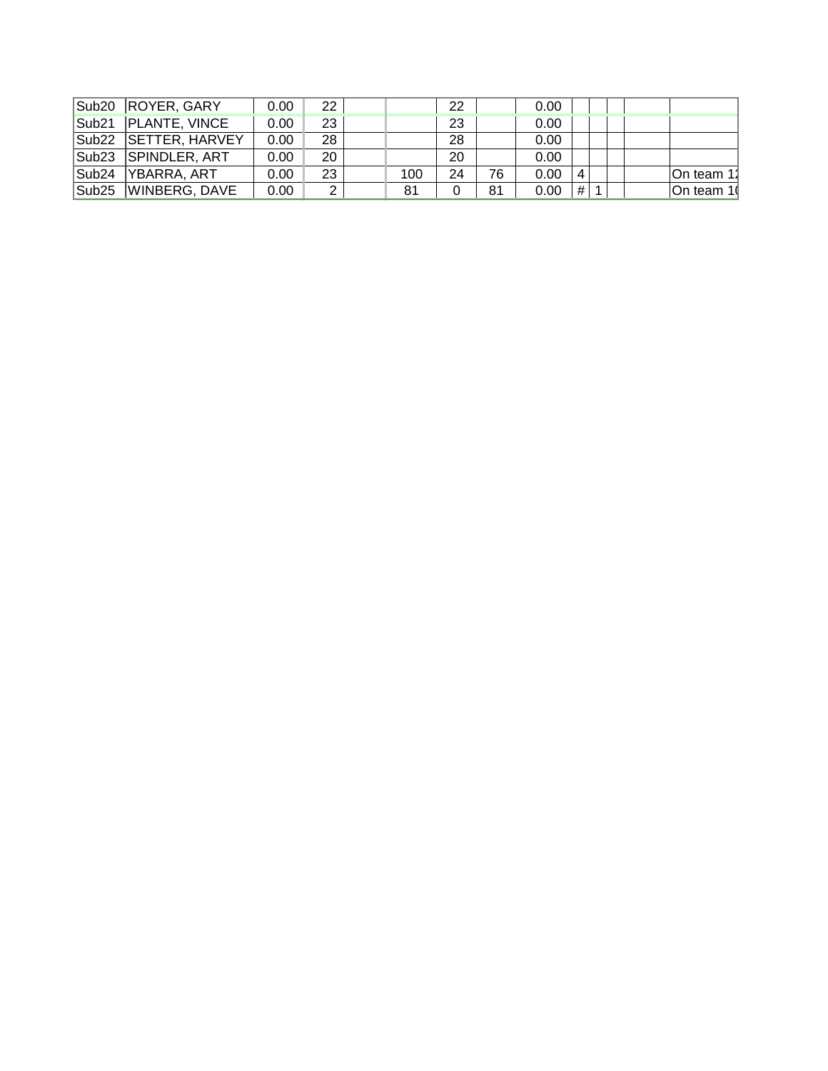| Sub <sub>20</sub> | ROYER, GARY           | 0.00 | 22 |     | 22 |    | 0.00 |   |  |             |
|-------------------|-----------------------|------|----|-----|----|----|------|---|--|-------------|
| Sub <sub>21</sub> | <b>PLANTE, VINCE</b>  | 0.00 | 23 |     | 23 |    | 0.00 |   |  |             |
| Sub <sub>22</sub> | <b>SETTER, HARVEY</b> | 0.00 | 28 |     | 28 |    | 0.00 |   |  |             |
| Sub <sub>23</sub> | SPINDLER, ART         | 0.00 | 20 |     | 20 |    | 0.00 |   |  |             |
| Sub <sub>24</sub> | YBARRA, ART           | 0.00 | 23 | 100 | 24 | 76 | 0.00 |   |  | IOn team 11 |
| Sub <sub>25</sub> | WINBERG, DAVE         | 0.00 | ົ  | 81  |    | 81 | 0.00 | # |  | On team 10  |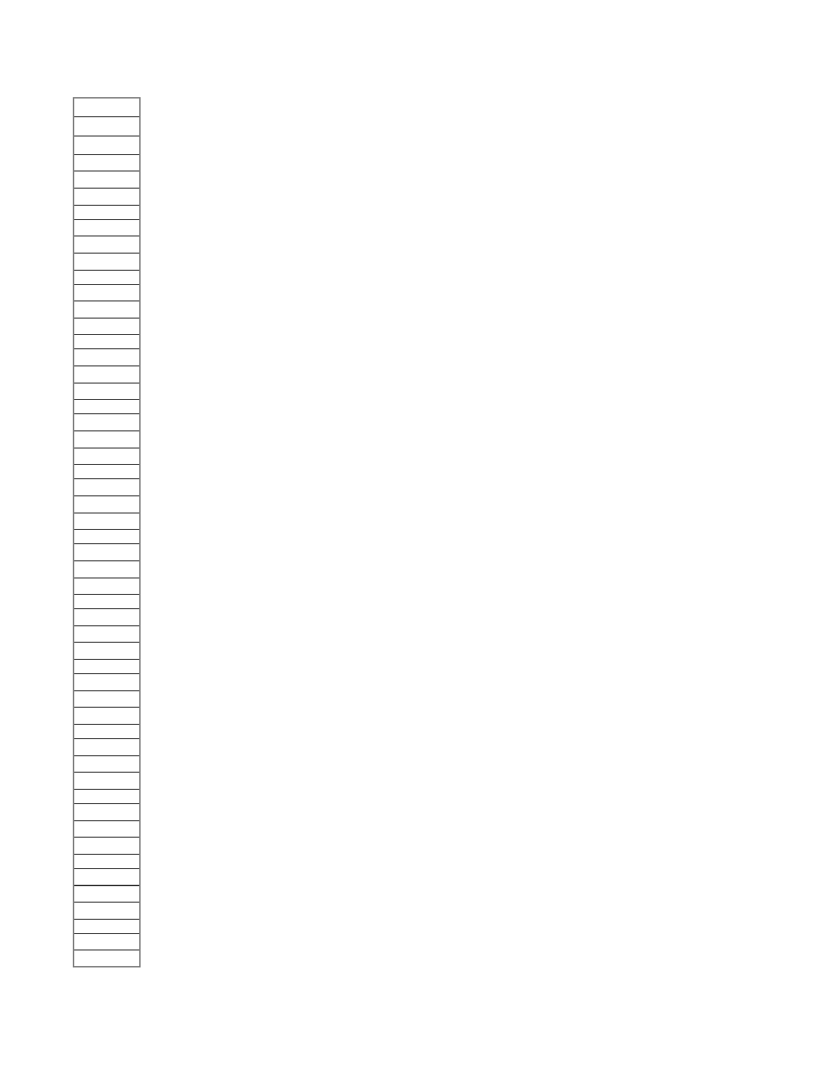